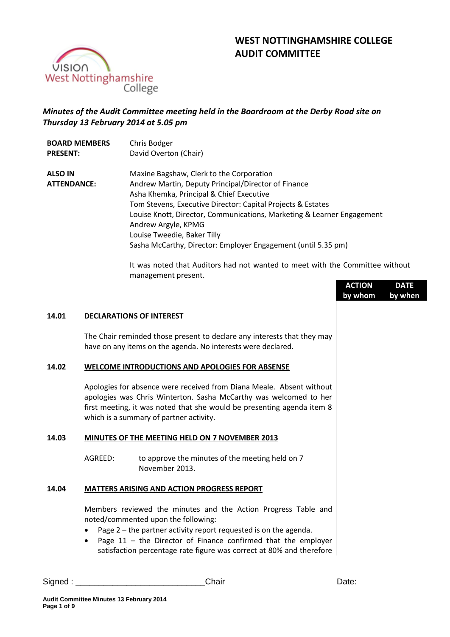



# *Minutes of the Audit Committee meeting held in the Boardroom at the Derby Road site on Thursday 13 February 2014 at 5.05 pm*

| <b>BOARD MEMBERS</b>                 | Chris Bodger                                                                                                                                                                                                                                                                                                                                                                                                |
|--------------------------------------|-------------------------------------------------------------------------------------------------------------------------------------------------------------------------------------------------------------------------------------------------------------------------------------------------------------------------------------------------------------------------------------------------------------|
| <b>PRESENT:</b>                      | David Overton (Chair)                                                                                                                                                                                                                                                                                                                                                                                       |
| <b>ALSO IN</b><br><b>ATTENDANCE:</b> | Maxine Bagshaw, Clerk to the Corporation<br>Andrew Martin, Deputy Principal/Director of Finance<br>Asha Khemka, Principal & Chief Executive<br>Tom Stevens, Executive Director: Capital Projects & Estates<br>Louise Knott, Director, Communications, Marketing & Learner Engagement<br>Andrew Argyle, KPMG<br>Louise Tweedie, Baker Tilly<br>Sasha McCarthy, Director: Employer Engagement (until 5.35 pm) |

It was noted that Auditors had not wanted to meet with the Committee without management present.

|       |                                                                                                                                                                                                                                                                                                                      |                                                                                                                                                                                                                                                                | <b>ACTION</b><br>by whom | <b>DATE</b><br>by when |
|-------|----------------------------------------------------------------------------------------------------------------------------------------------------------------------------------------------------------------------------------------------------------------------------------------------------------------------|----------------------------------------------------------------------------------------------------------------------------------------------------------------------------------------------------------------------------------------------------------------|--------------------------|------------------------|
| 14.01 |                                                                                                                                                                                                                                                                                                                      | <b>DECLARATIONS OF INTEREST</b>                                                                                                                                                                                                                                |                          |                        |
|       |                                                                                                                                                                                                                                                                                                                      | The Chair reminded those present to declare any interests that they may<br>have on any items on the agenda. No interests were declared.                                                                                                                        |                          |                        |
| 14.02 | <b>WELCOME INTRODUCTIONS AND APOLOGIES FOR ABSENSE</b>                                                                                                                                                                                                                                                               |                                                                                                                                                                                                                                                                |                          |                        |
|       |                                                                                                                                                                                                                                                                                                                      | Apologies for absence were received from Diana Meale. Absent without<br>apologies was Chris Winterton. Sasha McCarthy was welcomed to her<br>first meeting, it was noted that she would be presenting agenda item 8<br>which is a summary of partner activity. |                          |                        |
| 14.03 |                                                                                                                                                                                                                                                                                                                      | MINUTES OF THE MEETING HELD ON 7 NOVEMBER 2013                                                                                                                                                                                                                 |                          |                        |
|       | AGREED:                                                                                                                                                                                                                                                                                                              | to approve the minutes of the meeting held on 7<br>November 2013.                                                                                                                                                                                              |                          |                        |
| 14.04 |                                                                                                                                                                                                                                                                                                                      | <b>MATTERS ARISING AND ACTION PROGRESS REPORT</b>                                                                                                                                                                                                              |                          |                        |
|       | Members reviewed the minutes and the Action Progress Table and<br>noted/commented upon the following:<br>Page 2 - the partner activity report requested is on the agenda.<br>Page $11$ – the Director of Finance confirmed that the employer<br>satisfaction percentage rate figure was correct at 80% and therefore |                                                                                                                                                                                                                                                                |                          |                        |

Signed : \_\_\_\_\_\_\_\_\_\_\_\_\_\_\_\_\_\_\_\_\_\_\_\_\_\_\_\_Chair Date: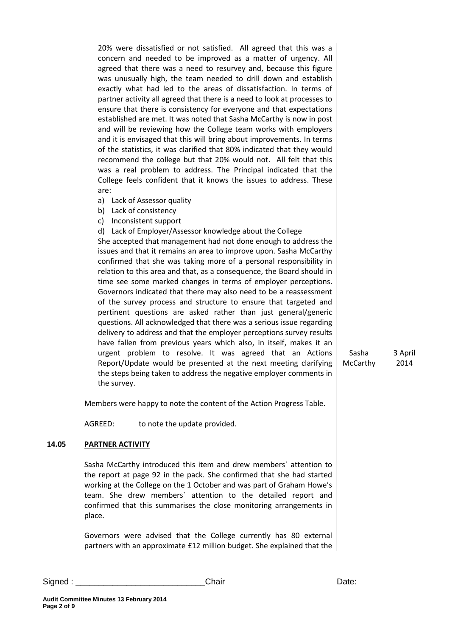20% were dissatisfied or not satisfied. All agreed that this was a concern and needed to be improved as a matter of urgency. All agreed that there was a need to resurvey and, because this figure was unusually high, the team needed to drill down and establish exactly what had led to the areas of dissatisfaction. In terms of partner activity all agreed that there is a need to look at processes to ensure that there is consistency for everyone and that expectations established are met. It was noted that Sasha McCarthy is now in post and will be reviewing how the College team works with employers and it is envisaged that this will bring about improvements. In terms of the statistics, it was clarified that 80% indicated that they would recommend the college but that 20% would not. All felt that this was a real problem to address. The Principal indicated that the College feels confident that it knows the issues to address. These are:

- a) Lack of Assessor quality
- b) Lack of consistency
- c) Inconsistent support
- d) Lack of Employer/Assessor knowledge about the College

She accepted that management had not done enough to address the issues and that it remains an area to improve upon. Sasha McCarthy confirmed that she was taking more of a personal responsibility in relation to this area and that, as a consequence, the Board should in time see some marked changes in terms of employer perceptions. Governors indicated that there may also need to be a reassessment of the survey process and structure to ensure that targeted and pertinent questions are asked rather than just general/generic questions. All acknowledged that there was a serious issue regarding delivery to address and that the employer perceptions survey results have fallen from previous years which also, in itself, makes it an urgent problem to resolve. It was agreed that an Actions Report/Update would be presented at the next meeting clarifying the steps being taken to address the negative employer comments in the survey.

Members were happy to note the content of the Action Progress Table.

AGREED: to note the update provided.

### **14.05 PARTNER ACTIVITY**

Sasha McCarthy introduced this item and drew members` attention to the report at page 92 in the pack. She confirmed that she had started working at the College on the 1 October and was part of Graham Howe's team. She drew members` attention to the detailed report and confirmed that this summarises the close monitoring arrangements in place.

Governors were advised that the College currently has 80 external partners with an approximate £12 million budget. She explained that the

| Signed | ;haır | vate. |
|--------|-------|-------|
|        |       |       |

Sasha McCarthy 3 April 2014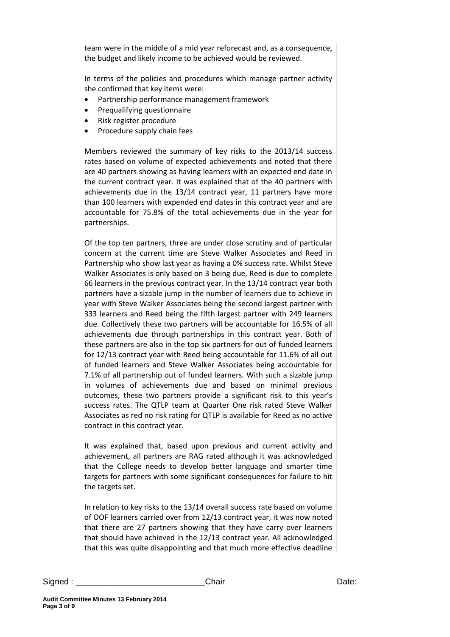team were in the middle of a mid year reforecast and, as a consequence, the budget and likely income to be achieved would be reviewed.

In terms of the policies and procedures which manage partner activity she confirmed that key items were:

- Partnership performance management framework
- Prequalifying questionnaire
- Risk register procedure
- Procedure supply chain fees

Members reviewed the summary of key risks to the 2013/14 success rates based on volume of expected achievements and noted that there are 40 partners showing as having learners with an expected end date in the current contract year. It was explained that of the 40 partners with achievements due in the 13/14 contract year, 11 partners have more than 100 learners with expended end dates in this contract year and are accountable for 75.8% of the total achievements due in the year for partnerships.

Of the top ten partners, three are under close scrutiny and of particular concern at the current time are Steve Walker Associates and Reed in Partnership who show last year as having a 0% success rate. Whilst Steve Walker Associates is only based on 3 being due, Reed is due to complete 66 learners in the previous contract year. In the 13/14 contract year both partners have a sizable jump in the number of learners due to achieve in year with Steve Walker Associates being the second largest partner with 333 learners and Reed being the fifth largest partner with 249 learners due. Collectively these two partners will be accountable for 16.5% of all achievements due through partnerships in this contract year. Both of these partners are also in the top six partners for out of funded learners for 12/13 contract year with Reed being accountable for 11.6% of all out of funded learners and Steve Walker Associates being accountable for 7.1% of all partnership out of funded learners. With such a sizable jump in volumes of achievements due and based on minimal previous outcomes, these two partners provide a significant risk to this year's success rates. The QTLP team at Quarter One risk rated Steve Walker Associates as red no risk rating for QTLP is available for Reed as no active contract in this contract year.

It was explained that, based upon previous and current activity and achievement, all partners are RAG rated although it was acknowledged that the College needs to develop better language and smarter time targets for partners with some significant consequences for failure to hit the targets set.

In relation to key risks to the 13/14 overall success rate based on volume of OOF learners carried over from 12/13 contract year, it was now noted that there are 27 partners showing that they have carry over learners that should have achieved in the 12/13 contract year. All acknowledged that this was quite disappointing and that much more effective deadline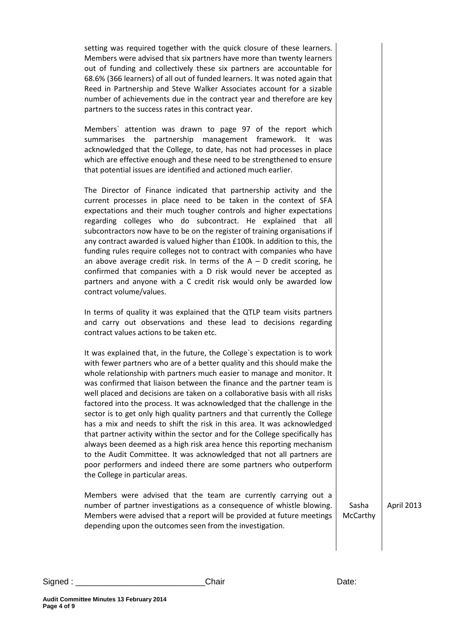setting was required together with the quick closure of these learners. Members were advised that six partners have more than twenty learners out of funding and collectively these six partners are accountable for 68.6% (366 learners) of all out of funded learners. It was noted again that Reed in Partnership and Steve Walker Associates account for a sizable number of achievements due in the contract year and therefore are key partners to the success rates in this contract year.

Members` attention was drawn to page 97 of the report which summarises the partnership management framework. It was acknowledged that the College, to date, has not had processes in place which are effective enough and these need to be strengthened to ensure that potential issues are identified and actioned much earlier.

The Director of Finance indicated that partnership activity and the current processes in place need to be taken in the context of SFA expectations and their much tougher controls and higher expectations regarding colleges who do subcontract. He explained that all subcontractors now have to be on the register of training organisations if any contract awarded is valued higher than £100k. In addition to this, the funding rules require colleges not to contract with companies who have an above average credit risk. In terms of the  $A - D$  credit scoring, he confirmed that companies with a D risk would never be accepted as partners and anyone with a C credit risk would only be awarded low contract volume/values.

In terms of quality it was explained that the QTLP team visits partners and carry out observations and these lead to decisions regarding contract values actions to be taken etc.

It was explained that, in the future, the College`s expectation is to work with fewer partners who are of a better quality and this should make the whole relationship with partners much easier to manage and monitor. It was confirmed that liaison between the finance and the partner team is well placed and decisions are taken on a collaborative basis with all risks factored into the process. It was acknowledged that the challenge in the sector is to get only high quality partners and that currently the College has a mix and needs to shift the risk in this area. It was acknowledged that partner activity within the sector and for the College specifically has always been deemed as a high risk area hence this reporting mechanism to the Audit Committee. It was acknowledged that not all partners are poor performers and indeed there are some partners who outperform the College in particular areas.

Members were advised that the team are currently carrying out a number of partner investigations as a consequence of whistle blowing. Members were advised that a report will be provided at future meetings depending upon the outcomes seen from the investigation.

April 2013

Signed : \_\_\_\_\_\_\_\_\_\_\_\_\_\_\_\_\_\_\_\_\_\_\_\_\_\_\_\_Chair Date:

Sasha McCarthy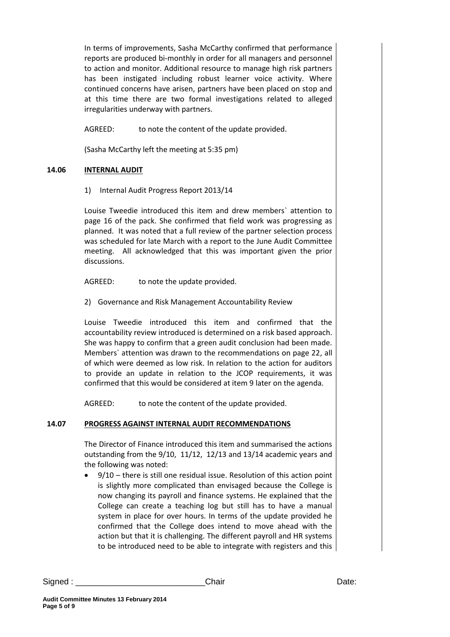In terms of improvements, Sasha McCarthy confirmed that performance reports are produced bi-monthly in order for all managers and personnel to action and monitor. Additional resource to manage high risk partners has been instigated including robust learner voice activity. Where continued concerns have arisen, partners have been placed on stop and at this time there are two formal investigations related to alleged irregularities underway with partners.

AGREED: to note the content of the update provided.

(Sasha McCarthy left the meeting at 5:35 pm)

### **14.06 INTERNAL AUDIT**

1) Internal Audit Progress Report 2013/14

Louise Tweedie introduced this item and drew members` attention to page 16 of the pack. She confirmed that field work was progressing as planned. It was noted that a full review of the partner selection process was scheduled for late March with a report to the June Audit Committee meeting. All acknowledged that this was important given the prior discussions.

AGREED: to note the update provided.

2) Governance and Risk Management Accountability Review

Louise Tweedie introduced this item and confirmed that the accountability review introduced is determined on a risk based approach. She was happy to confirm that a green audit conclusion had been made. Members` attention was drawn to the recommendations on page 22, all of which were deemed as low risk. In relation to the action for auditors to provide an update in relation to the JCOP requirements, it was confirmed that this would be considered at item 9 later on the agenda.

AGREED: to note the content of the update provided.

### **14.07 PROGRESS AGAINST INTERNAL AUDIT RECOMMENDATIONS**

The Director of Finance introduced this item and summarised the actions outstanding from the 9/10, 11/12, 12/13 and 13/14 academic years and the following was noted:

 9/10 – there is still one residual issue. Resolution of this action point is slightly more complicated than envisaged because the College is now changing its payroll and finance systems. He explained that the College can create a teaching log but still has to have a manual system in place for over hours. In terms of the update provided he confirmed that the College does intend to move ahead with the action but that it is challenging. The different payroll and HR systems to be introduced need to be able to integrate with registers and this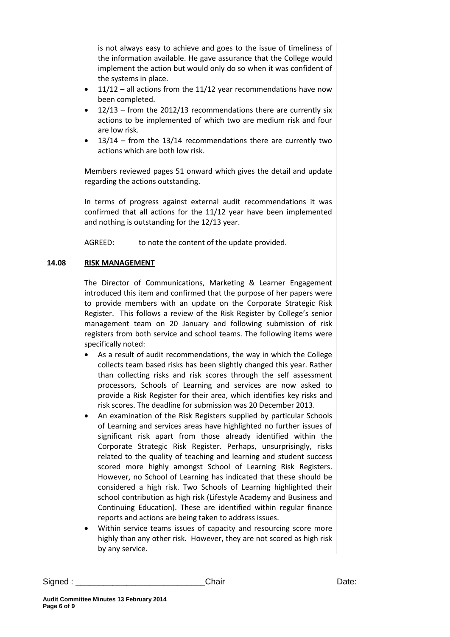is not always easy to achieve and goes to the issue of timeliness of the information available. He gave assurance that the College would implement the action but would only do so when it was confident of the systems in place.

- 11/12 all actions from the 11/12 year recommendations have now been completed.
- 12/13 from the 2012/13 recommendations there are currently six actions to be implemented of which two are medium risk and four are low risk.
- 13/14 from the 13/14 recommendations there are currently two actions which are both low risk.

Members reviewed pages 51 onward which gives the detail and update regarding the actions outstanding.

In terms of progress against external audit recommendations it was confirmed that all actions for the 11/12 year have been implemented and nothing is outstanding for the 12/13 year.

AGREED: to note the content of the update provided.

# **14.08 RISK MANAGEMENT**

The Director of Communications, Marketing & Learner Engagement introduced this item and confirmed that the purpose of her papers were to provide members with an update on the Corporate Strategic Risk Register. This follows a review of the Risk Register by College's senior management team on 20 January and following submission of risk registers from both service and school teams. The following items were specifically noted:

- As a result of audit recommendations, the way in which the College collects team based risks has been slightly changed this year. Rather than collecting risks and risk scores through the self assessment processors, Schools of Learning and services are now asked to provide a Risk Register for their area, which identifies key risks and risk scores. The deadline for submission was 20 December 2013.
- An examination of the Risk Registers supplied by particular Schools of Learning and services areas have highlighted no further issues of significant risk apart from those already identified within the Corporate Strategic Risk Register. Perhaps, unsurprisingly, risks related to the quality of teaching and learning and student success scored more highly amongst School of Learning Risk Registers. However, no School of Learning has indicated that these should be considered a high risk. Two Schools of Learning highlighted their school contribution as high risk (Lifestyle Academy and Business and Continuing Education). These are identified within regular finance reports and actions are being taken to address issues.
- Within service teams issues of capacity and resourcing score more highly than any other risk. However, they are not scored as high risk by any service.

Signed : \_\_\_\_\_\_\_\_\_\_\_\_\_\_\_\_\_\_\_\_\_\_\_\_\_\_\_\_Chair Date: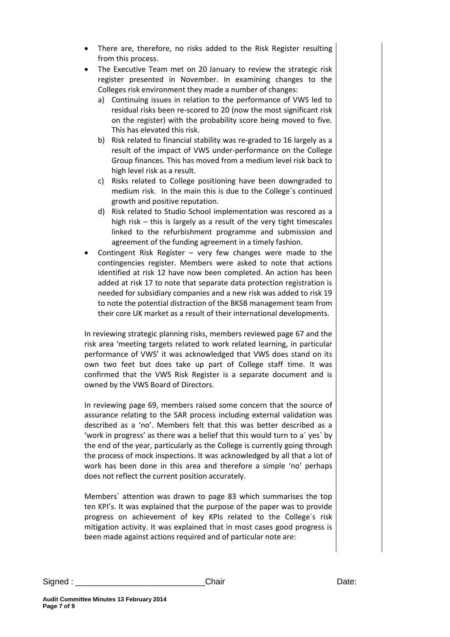- There are, therefore, no risks added to the Risk Register resulting from this process.
- The Executive Team met on 20 January to review the strategic risk register presented in November. In examining changes to the Colleges risk environment they made a number of changes:
	- a) Continuing issues in relation to the performance of VWS led to residual risks been re-scored to 20 (now the most significant risk on the register) with the probability score being moved to five. This has elevated this risk.
	- b) Risk related to financial stability was re-graded to 16 largely as a result of the impact of VWS under-performance on the College Group finances. This has moved from a medium level risk back to high level risk as a result.
	- c) Risks related to College positioning have been downgraded to medium risk. In the main this is due to the College`s continued growth and positive reputation.
	- d) Risk related to Studio School implementation was rescored as a high risk – this is largely as a result of the very tight timescales linked to the refurbishment programme and submission and agreement of the funding agreement in a timely fashion.
- Contingent Risk Register very few changes were made to the contingencies register. Members were asked to note that actions identified at risk 12 have now been completed. An action has been added at risk 17 to note that separate data protection registration is needed for subsidiary companies and a new risk was added to risk 19 to note the potential distraction of the BKSB management team from their core UK market as a result of their international developments.

In reviewing strategic planning risks, members reviewed page 67 and the risk area 'meeting targets related to work related learning, in particular performance of VWS' it was acknowledged that VWS does stand on its own two feet but does take up part of College staff time. It was confirmed that the VWS Risk Register is a separate document and is owned by the VWS Board of Directors.

In reviewing page 69, members raised some concern that the source of assurance relating to the SAR process including external validation was described as a 'no'. Members felt that this was better described as a 'work in progress' as there was a belief that this would turn to a` yes` by the end of the year, particularly as the College is currently going through the process of mock inspections. It was acknowledged by all that a lot of work has been done in this area and therefore a simple 'no' perhaps does not reflect the current position accurately.

Members` attention was drawn to page 83 which summarises the top ten KPI's. It was explained that the purpose of the paper was to provide progress on achievement of key KPIs related to the College`s risk mitigation activity. It was explained that in most cases good progress is been made against actions required and of particular note are: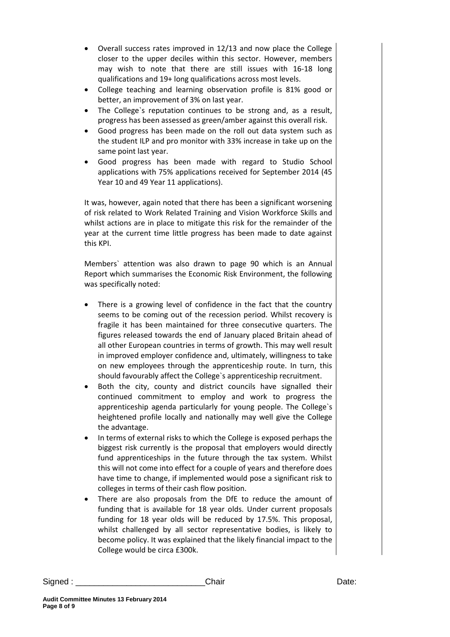- Overall success rates improved in 12/13 and now place the College closer to the upper deciles within this sector. However, members may wish to note that there are still issues with 16-18 long qualifications and 19+ long qualifications across most levels.
- College teaching and learning observation profile is 81% good or better, an improvement of 3% on last year.
- The College`s reputation continues to be strong and, as a result, progress has been assessed as green/amber against this overall risk.
- Good progress has been made on the roll out data system such as the student ILP and pro monitor with 33% increase in take up on the same point last year.
- Good progress has been made with regard to Studio School applications with 75% applications received for September 2014 (45 Year 10 and 49 Year 11 applications).

It was, however, again noted that there has been a significant worsening of risk related to Work Related Training and Vision Workforce Skills and whilst actions are in place to mitigate this risk for the remainder of the year at the current time little progress has been made to date against this KPI.

Members` attention was also drawn to page 90 which is an Annual Report which summarises the Economic Risk Environment, the following was specifically noted:

- There is a growing level of confidence in the fact that the country seems to be coming out of the recession period. Whilst recovery is fragile it has been maintained for three consecutive quarters. The figures released towards the end of January placed Britain ahead of all other European countries in terms of growth. This may well result in improved employer confidence and, ultimately, willingness to take on new employees through the apprenticeship route. In turn, this should favourably affect the College`s apprenticeship recruitment.
- Both the city, county and district councils have signalled their continued commitment to employ and work to progress the apprenticeship agenda particularly for young people. The College`s heightened profile locally and nationally may well give the College the advantage.
- In terms of external risks to which the College is exposed perhaps the biggest risk currently is the proposal that employers would directly fund apprenticeships in the future through the tax system. Whilst this will not come into effect for a couple of years and therefore does have time to change, if implemented would pose a significant risk to colleges in terms of their cash flow position.
- There are also proposals from the DfE to reduce the amount of funding that is available for 18 year olds. Under current proposals funding for 18 year olds will be reduced by 17.5%. This proposal, whilst challenged by all sector representative bodies, is likely to become policy. It was explained that the likely financial impact to the College would be circa £300k.